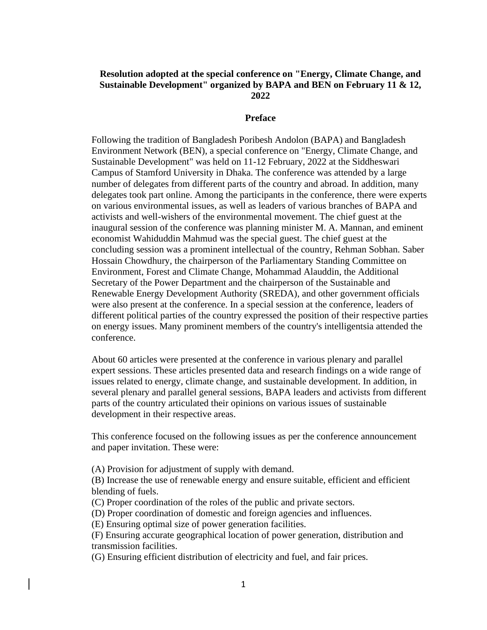## **Resolution adopted at the special conference on "Energy, Climate Change, and Sustainable Development" organized by BAPA and BEN on February 11 & 12, 2022**

#### **Preface**

Following the tradition of Bangladesh Poribesh Andolon (BAPA) and Bangladesh Environment Network (BEN), a special conference on "Energy, Climate Change, and Sustainable Development" was held on 11-12 February, 2022 at the Siddheswari Campus of Stamford University in Dhaka. The conference was attended by a large number of delegates from different parts of the country and abroad. In addition, many delegates took part online. Among the participants in the conference, there were experts on various environmental issues, as well as leaders of various branches of BAPA and activists and well-wishers of the environmental movement. The chief guest at the inaugural session of the conference was planning minister M. A. Mannan, and eminent economist Wahiduddin Mahmud was the special guest. The chief guest at the concluding session was a prominent intellectual of the country, Rehman Sobhan. Saber Hossain Chowdhury, the chairperson of the Parliamentary Standing Committee on Environment, Forest and Climate Change, Mohammad Alauddin, the Additional Secretary of the Power Department and the chairperson of the Sustainable and Renewable Energy Development Authority (SREDA), and other government officials were also present at the conference. In a special session at the conference, leaders of different political parties of the country expressed the position of their respective parties on energy issues. Many prominent members of the country's intelligentsia attended the conference.

About 60 articles were presented at the conference in various plenary and parallel expert sessions. These articles presented data and research findings on a wide range of issues related to energy, climate change, and sustainable development. In addition, in several plenary and parallel general sessions, BAPA leaders and activists from different parts of the country articulated their opinions on various issues of sustainable development in their respective areas.

This conference focused on the following issues as per the conference announcement and paper invitation. These were:

(A) Provision for adjustment of supply with demand.

(B) Increase the use of renewable energy and ensure suitable, efficient and efficient blending of fuels.

- (C) Proper coordination of the roles of the public and private sectors.
- (D) Proper coordination of domestic and foreign agencies and influences.
- (E) Ensuring optimal size of power generation facilities.

(F) Ensuring accurate geographical location of power generation, distribution and transmission facilities.

(G) Ensuring efficient distribution of electricity and fuel, and fair prices.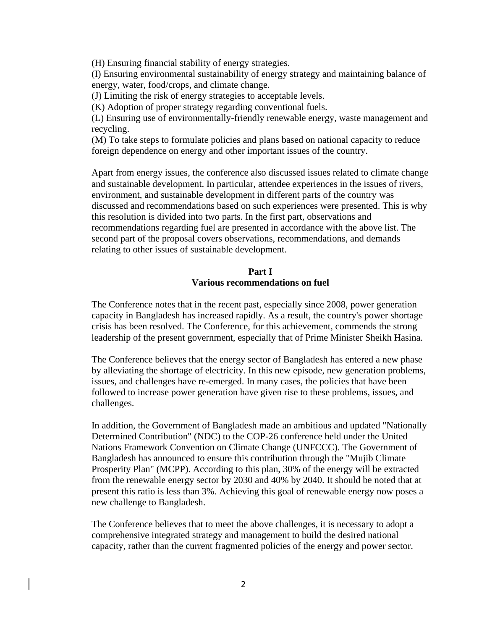(H) Ensuring financial stability of energy strategies.

(I) Ensuring environmental sustainability of energy strategy and maintaining balance of energy, water, food/crops, and climate change.

(J) Limiting the risk of energy strategies to acceptable levels.

(K) Adoption of proper strategy regarding conventional fuels.

(L) Ensuring use of environmentally-friendly renewable energy, waste management and recycling.

(M) To take steps to formulate policies and plans based on national capacity to reduce foreign dependence on energy and other important issues of the country.

Apart from energy issues, the conference also discussed issues related to climate change and sustainable development. In particular, attendee experiences in the issues of rivers, environment, and sustainable development in different parts of the country was discussed and recommendations based on such experiences were presented. This is why this resolution is divided into two parts. In the first part, observations and recommendations regarding fuel are presented in accordance with the above list. The second part of the proposal covers observations, recommendations, and demands relating to other issues of sustainable development.

## **Part I Various recommendations on fuel**

The Conference notes that in the recent past, especially since 2008, power generation capacity in Bangladesh has increased rapidly. As a result, the country's power shortage crisis has been resolved. The Conference, for this achievement, commends the strong leadership of the present government, especially that of Prime Minister Sheikh Hasina.

The Conference believes that the energy sector of Bangladesh has entered a new phase by alleviating the shortage of electricity. In this new episode, new generation problems, issues, and challenges have re-emerged. In many cases, the policies that have been followed to increase power generation have given rise to these problems, issues, and challenges.

In addition, the Government of Bangladesh made an ambitious and updated "Nationally Determined Contribution" (NDC) to the COP-26 conference held under the United Nations Framework Convention on Climate Change (UNFCCC). The Government of Bangladesh has announced to ensure this contribution through the "Mujib Climate Prosperity Plan" (MCPP). According to this plan, 30% of the energy will be extracted from the renewable energy sector by 2030 and 40% by 2040. It should be noted that at present this ratio is less than 3%. Achieving this goal of renewable energy now poses a new challenge to Bangladesh.

The Conference believes that to meet the above challenges, it is necessary to adopt a comprehensive integrated strategy and management to build the desired national capacity, rather than the current fragmented policies of the energy and power sector.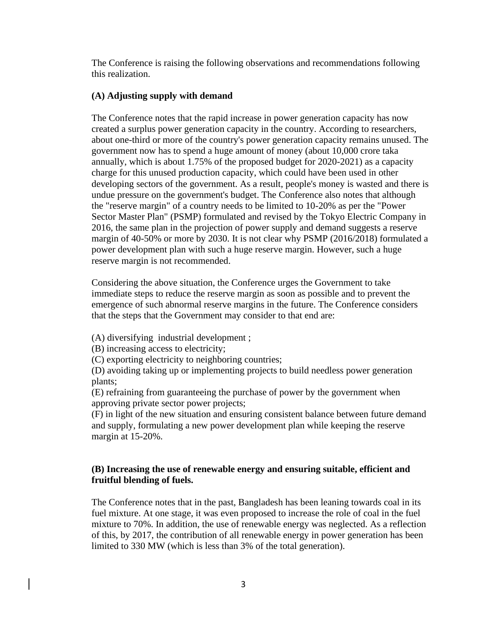The Conference is raising the following observations and recommendations following this realization.

## **(A) Adjusting supply with demand**

The Conference notes that the rapid increase in power generation capacity has now created a surplus power generation capacity in the country. According to researchers, about one-third or more of the country's power generation capacity remains unused. The government now has to spend a huge amount of money (about 10,000 crore taka annually, which is about 1.75% of the proposed budget for 2020-2021) as a capacity charge for this unused production capacity, which could have been used in other developing sectors of the government. As a result, people's money is wasted and there is undue pressure on the government's budget. The Conference also notes that although the "reserve margin" of a country needs to be limited to 10-20% as per the "Power Sector Master Plan" (PSMP) formulated and revised by the Tokyo Electric Company in 2016, the same plan in the projection of power supply and demand suggests a reserve margin of 40-50% or more by 2030. It is not clear why PSMP (2016/2018) formulated a power development plan with such a huge reserve margin. However, such a huge reserve margin is not recommended.

Considering the above situation, the Conference urges the Government to take immediate steps to reduce the reserve margin as soon as possible and to prevent the emergence of such abnormal reserve margins in the future. The Conference considers that the steps that the Government may consider to that end are:

(A) diversifying industrial development ;

(B) increasing access to electricity;

(C) exporting electricity to neighboring countries;

(D) avoiding taking up or implementing projects to build needless power generation plants;

(E) refraining from guaranteeing the purchase of power by the government when approving private sector power projects;

(F) in light of the new situation and ensuring consistent balance between future demand and supply, formulating a new power development plan while keeping the reserve margin at 15-20%.

# **(B) Increasing the use of renewable energy and ensuring suitable, efficient and fruitful blending of fuels.**

The Conference notes that in the past, Bangladesh has been leaning towards coal in its fuel mixture. At one stage, it was even proposed to increase the role of coal in the fuel mixture to 70%. In addition, the use of renewable energy was neglected. As a reflection of this, by 2017, the contribution of all renewable energy in power generation has been limited to 330 MW (which is less than 3% of the total generation).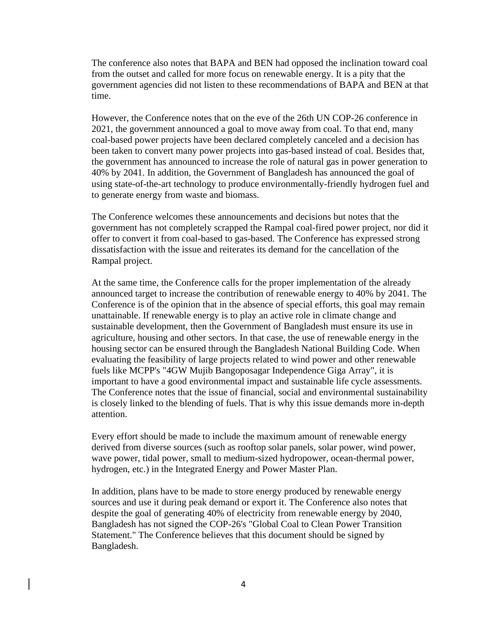The conference also notes that BAPA and BEN had opposed the inclination toward coal from the outset and called for more focus on renewable energy. It is a pity that the government agencies did not listen to these recommendations of BAPA and BEN at that time.

However, the Conference notes that on the eve of the 26th UN COP-26 conference in 2021, the government announced a goal to move away from coal. To that end, many coal-based power projects have been declared completely canceled and a decision has been taken to convert many power projects into gas-based instead of coal. Besides that, the government has announced to increase the role of natural gas in power generation to 40% by 2041. In addition, the Government of Bangladesh has announced the goal of using state-of-the-art technology to produce environmentally-friendly hydrogen fuel and to generate energy from waste and biomass.

The Conference welcomes these announcements and decisions but notes that the government has not completely scrapped the Rampal coal-fired power project, nor did it offer to convert it from coal-based to gas-based. The Conference has expressed strong dissatisfaction with the issue and reiterates its demand for the cancellation of the Rampal project.

At the same time, the Conference calls for the proper implementation of the already announced target to increase the contribution of renewable energy to 40% by 2041. The Conference is of the opinion that in the absence of special efforts, this goal may remain unattainable. If renewable energy is to play an active role in climate change and sustainable development, then the Government of Bangladesh must ensure its use in agriculture, housing and other sectors. In that case, the use of renewable energy in the housing sector can be ensured through the Bangladesh National Building Code. When evaluating the feasibility of large projects related to wind power and other renewable fuels like MCPP's "4GW Mujib Bangoposagar Independence Giga Array", it is important to have a good environmental impact and sustainable life cycle assessments. The Conference notes that the issue of financial, social and environmental sustainability is closely linked to the blending of fuels. That is why this issue demands more in-depth attention.

Every effort should be made to include the maximum amount of renewable energy derived from diverse sources (such as rooftop solar panels, solar power, wind power, wave power, tidal power, small to medium-sized hydropower, ocean-thermal power, hydrogen, etc.) in the Integrated Energy and Power Master Plan.

In addition, plans have to be made to store energy produced by renewable energy sources and use it during peak demand or export it. The Conference also notes that despite the goal of generating 40% of electricity from renewable energy by 2040, Bangladesh has not signed the COP-26's "Global Coal to Clean Power Transition Statement." The Conference believes that this document should be signed by Bangladesh.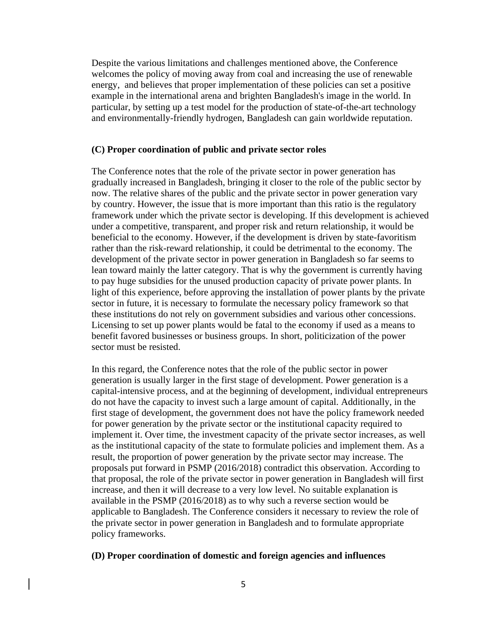Despite the various limitations and challenges mentioned above, the Conference welcomes the policy of moving away from coal and increasing the use of renewable energy, and believes that proper implementation of these policies can set a positive example in the international arena and brighten Bangladesh's image in the world. In particular, by setting up a test model for the production of state-of-the-art technology and environmentally-friendly hydrogen, Bangladesh can gain worldwide reputation.

#### **(C) Proper coordination of public and private sector roles**

The Conference notes that the role of the private sector in power generation has gradually increased in Bangladesh, bringing it closer to the role of the public sector by now. The relative shares of the public and the private sector in power generation vary by country. However, the issue that is more important than this ratio is the regulatory framework under which the private sector is developing. If this development is achieved under a competitive, transparent, and proper risk and return relationship, it would be beneficial to the economy. However, if the development is driven by state-favoritism rather than the risk-reward relationship, it could be detrimental to the economy. The development of the private sector in power generation in Bangladesh so far seems to lean toward mainly the latter category. That is why the government is currently having to pay huge subsidies for the unused production capacity of private power plants. In light of this experience, before approving the installation of power plants by the private sector in future, it is necessary to formulate the necessary policy framework so that these institutions do not rely on government subsidies and various other concessions. Licensing to set up power plants would be fatal to the economy if used as a means to benefit favored businesses or business groups. In short, politicization of the power sector must be resisted.

In this regard, the Conference notes that the role of the public sector in power generation is usually larger in the first stage of development. Power generation is a capital-intensive process, and at the beginning of development, individual entrepreneurs do not have the capacity to invest such a large amount of capital. Additionally, in the first stage of development, the government does not have the policy framework needed for power generation by the private sector or the institutional capacity required to implement it. Over time, the investment capacity of the private sector increases, as well as the institutional capacity of the state to formulate policies and implement them. As a result, the proportion of power generation by the private sector may increase. The proposals put forward in PSMP (2016/2018) contradict this observation. According to that proposal, the role of the private sector in power generation in Bangladesh will first increase, and then it will decrease to a very low level. No suitable explanation is available in the PSMP (2016/2018) as to why such a reverse section would be applicable to Bangladesh. The Conference considers it necessary to review the role of the private sector in power generation in Bangladesh and to formulate appropriate policy frameworks.

### **(D) Proper coordination of domestic and foreign agencies and influences**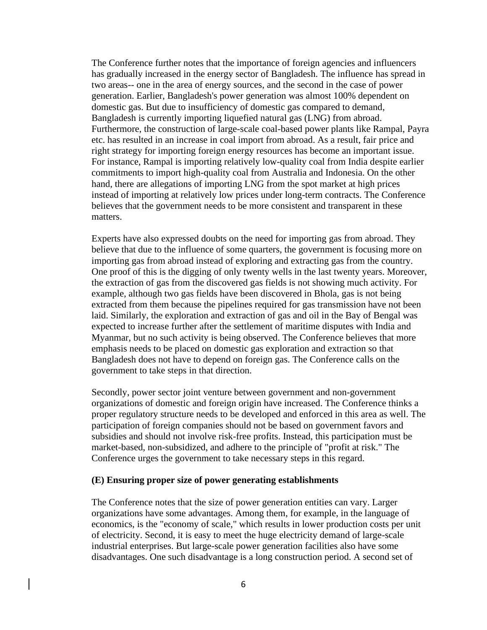The Conference further notes that the importance of foreign agencies and influencers has gradually increased in the energy sector of Bangladesh. The influence has spread in two areas-- one in the area of energy sources, and the second in the case of power generation. Earlier, Bangladesh's power generation was almost 100% dependent on domestic gas. But due to insufficiency of domestic gas compared to demand, Bangladesh is currently importing liquefied natural gas (LNG) from abroad. Furthermore, the construction of large-scale coal-based power plants like Rampal, Payra etc. has resulted in an increase in coal import from abroad. As a result, fair price and right strategy for importing foreign energy resources has become an important issue. For instance, Rampal is importing relatively low-quality coal from India despite earlier commitments to import high-quality coal from Australia and Indonesia. On the other hand, there are allegations of importing LNG from the spot market at high prices instead of importing at relatively low prices under long-term contracts. The Conference believes that the government needs to be more consistent and transparent in these matters.

Experts have also expressed doubts on the need for importing gas from abroad. They believe that due to the influence of some quarters, the government is focusing more on importing gas from abroad instead of exploring and extracting gas from the country. One proof of this is the digging of only twenty wells in the last twenty years. Moreover, the extraction of gas from the discovered gas fields is not showing much activity. For example, although two gas fields have been discovered in Bhola, gas is not being extracted from them because the pipelines required for gas transmission have not been laid. Similarly, the exploration and extraction of gas and oil in the Bay of Bengal was expected to increase further after the settlement of maritime disputes with India and Myanmar, but no such activity is being observed. The Conference believes that more emphasis needs to be placed on domestic gas exploration and extraction so that Bangladesh does not have to depend on foreign gas. The Conference calls on the government to take steps in that direction.

Secondly, power sector joint venture between government and non-government organizations of domestic and foreign origin have increased. The Conference thinks a proper regulatory structure needs to be developed and enforced in this area as well. The participation of foreign companies should not be based on government favors and subsidies and should not involve risk-free profits. Instead, this participation must be market-based, non-subsidized, and adhere to the principle of "profit at risk." The Conference urges the government to take necessary steps in this regard.

#### **(E) Ensuring proper size of power generating establishments**

The Conference notes that the size of power generation entities can vary. Larger organizations have some advantages. Among them, for example, in the language of economics, is the "economy of scale," which results in lower production costs per unit of electricity. Second, it is easy to meet the huge electricity demand of large-scale industrial enterprises. But large-scale power generation facilities also have some disadvantages. One such disadvantage is a long construction period. A second set of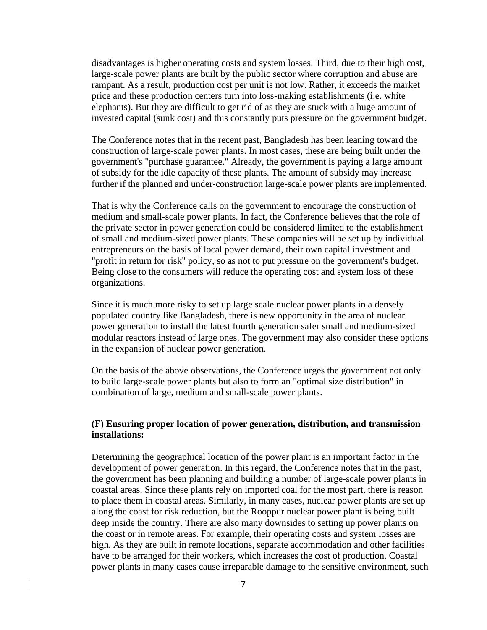disadvantages is higher operating costs and system losses. Third, due to their high cost, large-scale power plants are built by the public sector where corruption and abuse are rampant. As a result, production cost per unit is not low. Rather, it exceeds the market price and these production centers turn into loss-making establishments (i.e. white elephants). But they are difficult to get rid of as they are stuck with a huge amount of invested capital (sunk cost) and this constantly puts pressure on the government budget.

The Conference notes that in the recent past, Bangladesh has been leaning toward the construction of large-scale power plants. In most cases, these are being built under the government's "purchase guarantee." Already, the government is paying a large amount of subsidy for the idle capacity of these plants. The amount of subsidy may increase further if the planned and under-construction large-scale power plants are implemented.

That is why the Conference calls on the government to encourage the construction of medium and small-scale power plants. In fact, the Conference believes that the role of the private sector in power generation could be considered limited to the establishment of small and medium-sized power plants. These companies will be set up by individual entrepreneurs on the basis of local power demand, their own capital investment and "profit in return for risk" policy, so as not to put pressure on the government's budget. Being close to the consumers will reduce the operating cost and system loss of these organizations.

Since it is much more risky to set up large scale nuclear power plants in a densely populated country like Bangladesh, there is new opportunity in the area of nuclear power generation to install the latest fourth generation safer small and medium-sized modular reactors instead of large ones. The government may also consider these options in the expansion of nuclear power generation.

On the basis of the above observations, the Conference urges the government not only to build large-scale power plants but also to form an "optimal size distribution" in combination of large, medium and small-scale power plants.

## **(F) Ensuring proper location of power generation, distribution, and transmission installations:**

Determining the geographical location of the power plant is an important factor in the development of power generation. In this regard, the Conference notes that in the past, the government has been planning and building a number of large-scale power plants in coastal areas. Since these plants rely on imported coal for the most part, there is reason to place them in coastal areas. Similarly, in many cases, nuclear power plants are set up along the coast for risk reduction, but the Rooppur nuclear power plant is being built deep inside the country. There are also many downsides to setting up power plants on the coast or in remote areas. For example, their operating costs and system losses are high. As they are built in remote locations, separate accommodation and other facilities have to be arranged for their workers, which increases the cost of production. Coastal power plants in many cases cause irreparable damage to the sensitive environment, such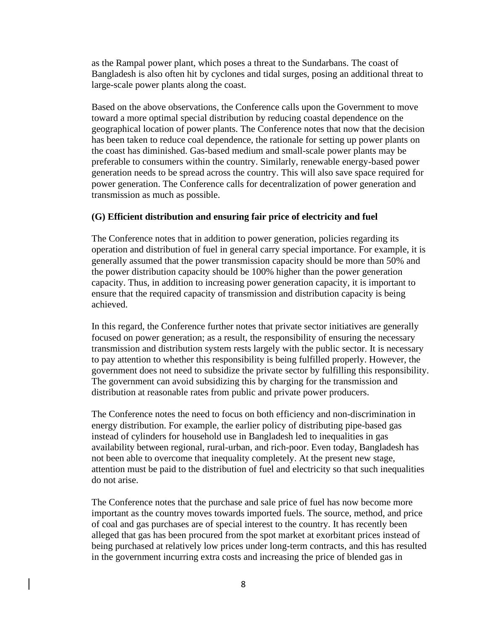as the Rampal power plant, which poses a threat to the Sundarbans. The coast of Bangladesh is also often hit by cyclones and tidal surges, posing an additional threat to large-scale power plants along the coast.

Based on the above observations, the Conference calls upon the Government to move toward a more optimal special distribution by reducing coastal dependence on the geographical location of power plants. The Conference notes that now that the decision has been taken to reduce coal dependence, the rationale for setting up power plants on the coast has diminished. Gas-based medium and small-scale power plants may be preferable to consumers within the country. Similarly, renewable energy-based power generation needs to be spread across the country. This will also save space required for power generation. The Conference calls for decentralization of power generation and transmission as much as possible.

#### **(G) Efficient distribution and ensuring fair price of electricity and fuel**

The Conference notes that in addition to power generation, policies regarding its operation and distribution of fuel in general carry special importance. For example, it is generally assumed that the power transmission capacity should be more than 50% and the power distribution capacity should be 100% higher than the power generation capacity. Thus, in addition to increasing power generation capacity, it is important to ensure that the required capacity of transmission and distribution capacity is being achieved.

In this regard, the Conference further notes that private sector initiatives are generally focused on power generation; as a result, the responsibility of ensuring the necessary transmission and distribution system rests largely with the public sector. It is necessary to pay attention to whether this responsibility is being fulfilled properly. However, the government does not need to subsidize the private sector by fulfilling this responsibility. The government can avoid subsidizing this by charging for the transmission and distribution at reasonable rates from public and private power producers.

The Conference notes the need to focus on both efficiency and non-discrimination in energy distribution. For example, the earlier policy of distributing pipe-based gas instead of cylinders for household use in Bangladesh led to inequalities in gas availability between regional, rural-urban, and rich-poor. Even today, Bangladesh has not been able to overcome that inequality completely. At the present new stage, attention must be paid to the distribution of fuel and electricity so that such inequalities do not arise.

The Conference notes that the purchase and sale price of fuel has now become more important as the country moves towards imported fuels. The source, method, and price of coal and gas purchases are of special interest to the country. It has recently been alleged that gas has been procured from the spot market at exorbitant prices instead of being purchased at relatively low prices under long-term contracts, and this has resulted in the government incurring extra costs and increasing the price of blended gas in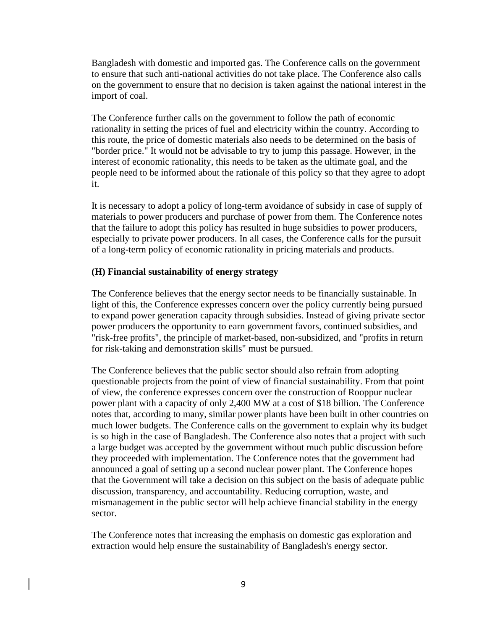Bangladesh with domestic and imported gas. The Conference calls on the government to ensure that such anti-national activities do not take place. The Conference also calls on the government to ensure that no decision is taken against the national interest in the import of coal.

The Conference further calls on the government to follow the path of economic rationality in setting the prices of fuel and electricity within the country. According to this route, the price of domestic materials also needs to be determined on the basis of "border price." It would not be advisable to try to jump this passage. However, in the interest of economic rationality, this needs to be taken as the ultimate goal, and the people need to be informed about the rationale of this policy so that they agree to adopt it.

It is necessary to adopt a policy of long-term avoidance of subsidy in case of supply of materials to power producers and purchase of power from them. The Conference notes that the failure to adopt this policy has resulted in huge subsidies to power producers, especially to private power producers. In all cases, the Conference calls for the pursuit of a long-term policy of economic rationality in pricing materials and products.

### **(H) Financial sustainability of energy strategy**

The Conference believes that the energy sector needs to be financially sustainable. In light of this, the Conference expresses concern over the policy currently being pursued to expand power generation capacity through subsidies. Instead of giving private sector power producers the opportunity to earn government favors, continued subsidies, and "risk-free profits", the principle of market-based, non-subsidized, and "profits in return for risk-taking and demonstration skills" must be pursued.

The Conference believes that the public sector should also refrain from adopting questionable projects from the point of view of financial sustainability. From that point of view, the conference expresses concern over the construction of Rooppur nuclear power plant with a capacity of only 2,400 MW at a cost of \$18 billion. The Conference notes that, according to many, similar power plants have been built in other countries on much lower budgets. The Conference calls on the government to explain why its budget is so high in the case of Bangladesh. The Conference also notes that a project with such a large budget was accepted by the government without much public discussion before they proceeded with implementation. The Conference notes that the government had announced a goal of setting up a second nuclear power plant. The Conference hopes that the Government will take a decision on this subject on the basis of adequate public discussion, transparency, and accountability. Reducing corruption, waste, and mismanagement in the public sector will help achieve financial stability in the energy sector.

The Conference notes that increasing the emphasis on domestic gas exploration and extraction would help ensure the sustainability of Bangladesh's energy sector.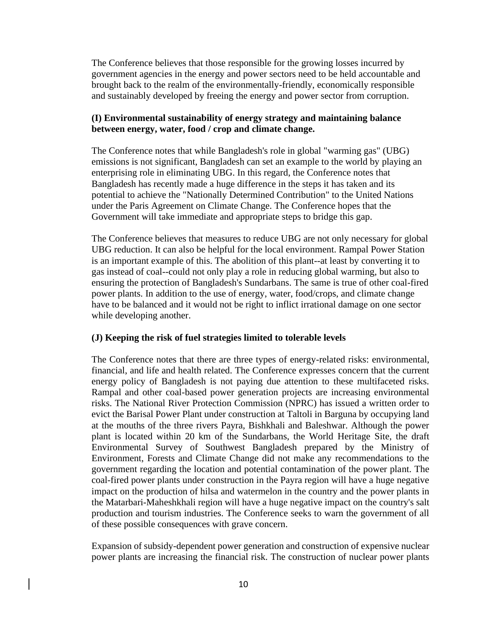The Conference believes that those responsible for the growing losses incurred by government agencies in the energy and power sectors need to be held accountable and brought back to the realm of the environmentally-friendly, economically responsible and sustainably developed by freeing the energy and power sector from corruption.

## **(I) Environmental sustainability of energy strategy and maintaining balance between energy, water, food / crop and climate change.**

The Conference notes that while Bangladesh's role in global "warming gas" (UBG) emissions is not significant, Bangladesh can set an example to the world by playing an enterprising role in eliminating UBG. In this regard, the Conference notes that Bangladesh has recently made a huge difference in the steps it has taken and its potential to achieve the "Nationally Determined Contribution" to the United Nations under the Paris Agreement on Climate Change. The Conference hopes that the Government will take immediate and appropriate steps to bridge this gap.

The Conference believes that measures to reduce UBG are not only necessary for global UBG reduction. It can also be helpful for the local environment. Rampal Power Station is an important example of this. The abolition of this plant--at least by converting it to gas instead of coal--could not only play a role in reducing global warming, but also to ensuring the protection of Bangladesh's Sundarbans. The same is true of other coal-fired power plants. In addition to the use of energy, water, food/crops, and climate change have to be balanced and it would not be right to inflict irrational damage on one sector while developing another.

### **(J) Keeping the risk of fuel strategies limited to tolerable levels**

The Conference notes that there are three types of energy-related risks: environmental, financial, and life and health related. The Conference expresses concern that the current energy policy of Bangladesh is not paying due attention to these multifaceted risks. Rampal and other coal-based power generation projects are increasing environmental risks. The National River Protection Commission (NPRC) has issued a written order to evict the Barisal Power Plant under construction at Taltoli in Barguna by occupying land at the mouths of the three rivers Payra, Bishkhali and Baleshwar. Although the power plant is located within 20 km of the Sundarbans, the World Heritage Site, the draft Environmental Survey of Southwest Bangladesh prepared by the Ministry of Environment, Forests and Climate Change did not make any recommendations to the government regarding the location and potential contamination of the power plant. The coal-fired power plants under construction in the Payra region will have a huge negative impact on the production of hilsa and watermelon in the country and the power plants in the Matarbari-Maheshkhali region will have a huge negative impact on the country's salt production and tourism industries. The Conference seeks to warn the government of all of these possible consequences with grave concern.

Expansion of subsidy-dependent power generation and construction of expensive nuclear power plants are increasing the financial risk. The construction of nuclear power plants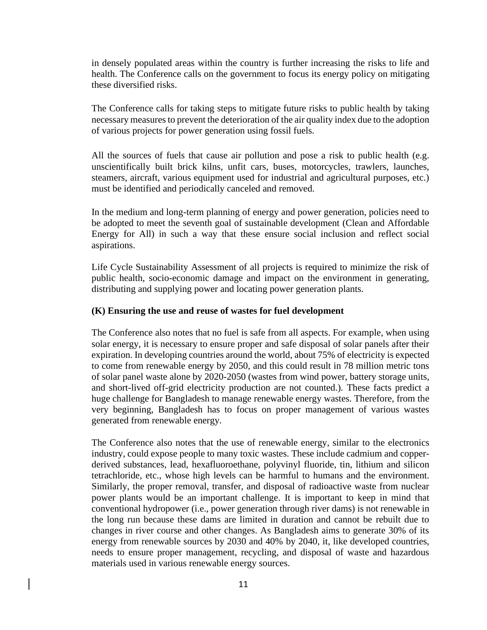in densely populated areas within the country is further increasing the risks to life and health. The Conference calls on the government to focus its energy policy on mitigating these diversified risks.

The Conference calls for taking steps to mitigate future risks to public health by taking necessary measures to prevent the deterioration of the air quality index due to the adoption of various projects for power generation using fossil fuels.

All the sources of fuels that cause air pollution and pose a risk to public health (e.g. unscientifically built brick kilns, unfit cars, buses, motorcycles, trawlers, launches, steamers, aircraft, various equipment used for industrial and agricultural purposes, etc.) must be identified and periodically canceled and removed.

In the medium and long-term planning of energy and power generation, policies need to be adopted to meet the seventh goal of sustainable development (Clean and Affordable Energy for All) in such a way that these ensure social inclusion and reflect social aspirations.

Life Cycle Sustainability Assessment of all projects is required to minimize the risk of public health, socio-economic damage and impact on the environment in generating, distributing and supplying power and locating power generation plants.

## **(K) Ensuring the use and reuse of wastes for fuel development**

The Conference also notes that no fuel is safe from all aspects. For example, when using solar energy, it is necessary to ensure proper and safe disposal of solar panels after their expiration. In developing countries around the world, about 75% of electricity is expected to come from renewable energy by 2050, and this could result in 78 million metric tons of solar panel waste alone by 2020-2050 (wastes from wind power, battery storage units, and short-lived off-grid electricity production are not counted.). These facts predict a huge challenge for Bangladesh to manage renewable energy wastes. Therefore, from the very beginning, Bangladesh has to focus on proper management of various wastes generated from renewable energy.

The Conference also notes that the use of renewable energy, similar to the electronics industry, could expose people to many toxic wastes. These include cadmium and copperderived substances, lead, hexafluoroethane, polyvinyl fluoride, tin, lithium and silicon tetrachloride, etc., whose high levels can be harmful to humans and the environment. Similarly, the proper removal, transfer, and disposal of radioactive waste from nuclear power plants would be an important challenge. It is important to keep in mind that conventional hydropower (i.e., power generation through river dams) is not renewable in the long run because these dams are limited in duration and cannot be rebuilt due to changes in river course and other changes. As Bangladesh aims to generate 30% of its energy from renewable sources by 2030 and 40% by 2040, it, like developed countries, needs to ensure proper management, recycling, and disposal of waste and hazardous materials used in various renewable energy sources.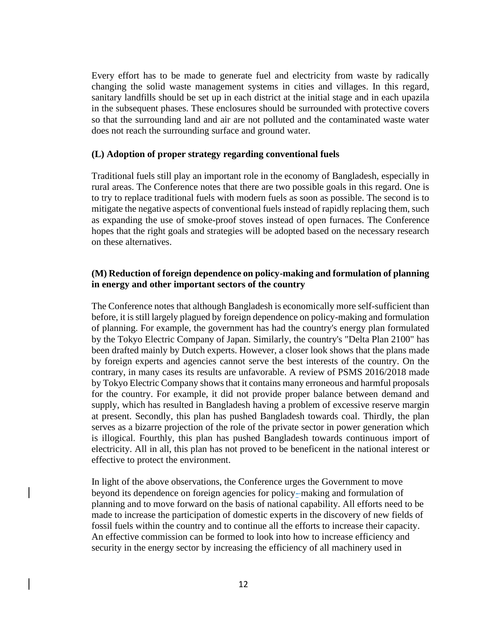Every effort has to be made to generate fuel and electricity from waste by radically changing the solid waste management systems in cities and villages. In this regard, sanitary landfills should be set up in each district at the initial stage and in each upazila in the subsequent phases. These enclosures should be surrounded with protective covers so that the surrounding land and air are not polluted and the contaminated waste water does not reach the surrounding surface and ground water.

### **(L) Adoption of proper strategy regarding conventional fuels**

Traditional fuels still play an important role in the economy of Bangladesh, especially in rural areas. The Conference notes that there are two possible goals in this regard. One is to try to replace traditional fuels with modern fuels as soon as possible. The second is to mitigate the negative aspects of conventional fuels instead of rapidly replacing them, such as expanding the use of smoke-proof stoves instead of open furnaces. The Conference hopes that the right goals and strategies will be adopted based on the necessary research on these alternatives.

# **(M) Reduction of foreign dependence on policy-making and formulation of planning in energy and other important sectors of the country**

The Conference notes that although Bangladesh is economically more self-sufficient than before, it is still largely plagued by foreign dependence on policy-making and formulation of planning. For example, the government has had the country's energy plan formulated by the Tokyo Electric Company of Japan. Similarly, the country's "Delta Plan 2100" has been drafted mainly by Dutch experts. However, a closer look shows that the plans made by foreign experts and agencies cannot serve the best interests of the country. On the contrary, in many cases its results are unfavorable. A review of PSMS 2016/2018 made by Tokyo Electric Company shows that it contains many erroneous and harmful proposals for the country. For example, it did not provide proper balance between demand and supply, which has resulted in Bangladesh having a problem of excessive reserve margin at present. Secondly, this plan has pushed Bangladesh towards coal. Thirdly, the plan serves as a bizarre projection of the role of the private sector in power generation which is illogical. Fourthly, this plan has pushed Bangladesh towards continuous import of electricity. All in all, this plan has not proved to be beneficent in the national interest or effective to protect the environment.

In light of the above observations, the Conference urges the Government to move beyond its dependence on foreign agencies for policy--making and formulation of planning and to move forward on the basis of national capability. All efforts need to be made to increase the participation of domestic experts in the discovery of new fields of fossil fuels within the country and to continue all the efforts to increase their capacity. An effective commission can be formed to look into how to increase efficiency and security in the energy sector by increasing the efficiency of all machinery used in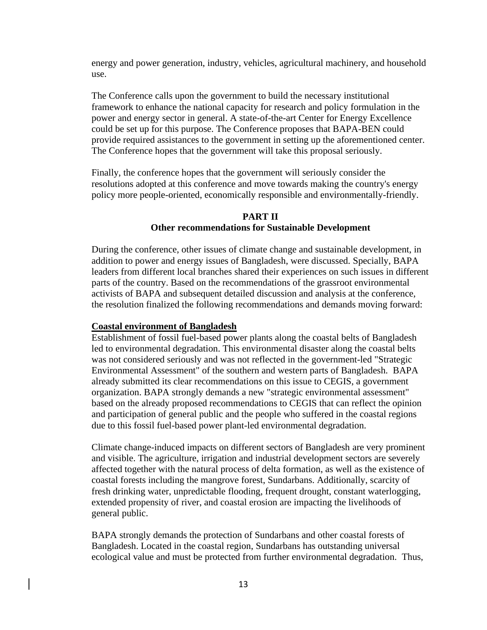energy and power generation, industry, vehicles, agricultural machinery, and household use.

The Conference calls upon the government to build the necessary institutional framework to enhance the national capacity for research and policy formulation in the power and energy sector in general. A state-of-the-art Center for Energy Excellence could be set up for this purpose. The Conference proposes that BAPA-BEN could provide required assistances to the government in setting up the aforementioned center. The Conference hopes that the government will take this proposal seriously.

Finally, the conference hopes that the government will seriously consider the resolutions adopted at this conference and move towards making the country's energy policy more people-oriented, economically responsible and environmentally-friendly.

## **PART II**

## **Other recommendations for Sustainable Development**

During the conference, other issues of climate change and sustainable development, in addition to power and energy issues of Bangladesh, were discussed. Specially, BAPA leaders from different local branches shared their experiences on such issues in different parts of the country. Based on the recommendations of the grassroot environmental activists of BAPA and subsequent detailed discussion and analysis at the conference, the resolution finalized the following recommendations and demands moving forward:

#### **Coastal environment of Bangladesh**

Establishment of fossil fuel-based power plants along the coastal belts of Bangladesh led to environmental degradation. This environmental disaster along the coastal belts was not considered seriously and was not reflected in the government-led "Strategic Environmental Assessment" of the southern and western parts of Bangladesh. BAPA already submitted its clear recommendations on this issue to CEGIS, a government organization. BAPA strongly demands a new "strategic environmental assessment" based on the already proposed recommendations to CEGIS that can reflect the opinion and participation of general public and the people who suffered in the coastal regions due to this fossil fuel-based power plant-led environmental degradation.

Climate change-induced impacts on different sectors of Bangladesh are very prominent and visible. The agriculture, irrigation and industrial development sectors are severely affected together with the natural process of delta formation, as well as the existence of coastal forests including the mangrove forest, Sundarbans. Additionally, scarcity of fresh drinking water, unpredictable flooding, frequent drought, constant waterlogging, extended propensity of river, and coastal erosion are impacting the livelihoods of general public.

BAPA strongly demands the protection of Sundarbans and other coastal forests of Bangladesh. Located in the coastal region, Sundarbans has outstanding universal ecological value and must be protected from further environmental degradation. Thus,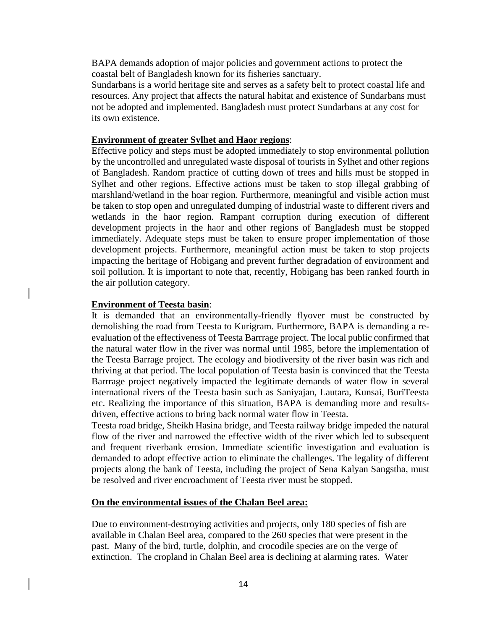BAPA demands adoption of major policies and government actions to protect the coastal belt of Bangladesh known for its fisheries sanctuary.

Sundarbans is a world heritage site and serves as a safety belt to protect coastal life and resources. Any project that affects the natural habitat and existence of Sundarbans must not be adopted and implemented. Bangladesh must protect Sundarbans at any cost for its own existence.

## **Environment of greater Sylhet and Haor regions**:

Effective policy and steps must be adopted immediately to stop environmental pollution by the uncontrolled and unregulated waste disposal of tourists in Sylhet and other regions of Bangladesh. Random practice of cutting down of trees and hills must be stopped in Sylhet and other regions. Effective actions must be taken to stop illegal grabbing of marshland/wetland in the hoar region. Furthermore, meaningful and visible action must be taken to stop open and unregulated dumping of industrial waste to different rivers and wetlands in the haor region. Rampant corruption during execution of different development projects in the haor and other regions of Bangladesh must be stopped immediately. Adequate steps must be taken to ensure proper implementation of those development projects. Furthermore, meaningful action must be taken to stop projects impacting the heritage of Hobigang and prevent further degradation of environment and soil pollution. It is important to note that, recently, Hobigang has been ranked fourth in the air pollution category.

#### **Environment of Teesta basin**:

It is demanded that an environmentally-friendly flyover must be constructed by demolishing the road from Teesta to Kurigram. Furthermore, BAPA is demanding a reevaluation of the effectiveness of Teesta Barrrage project. The local public confirmed that the natural water flow in the river was normal until 1985, before the implementation of the Teesta Barrage project. The ecology and biodiversity of the river basin was rich and thriving at that period. The local population of Teesta basin is convinced that the Teesta Barrrage project negatively impacted the legitimate demands of water flow in several international rivers of the Teesta basin such as Saniyajan, Lautara, Kunsai, BuriTeesta etc. Realizing the importance of this situation, BAPA is demanding more and resultsdriven, effective actions to bring back normal water flow in Teesta.

Teesta road bridge, Sheikh Hasina bridge, and Teesta railway bridge impeded the natural flow of the river and narrowed the effective width of the river which led to subsequent and frequent riverbank erosion. Immediate scientific investigation and evaluation is demanded to adopt effective action to eliminate the challenges. The legality of different projects along the bank of Teesta, including the project of Sena Kalyan Sangstha, must be resolved and river encroachment of Teesta river must be stopped.

#### **On the environmental issues of the Chalan Beel area:**

Due to environment-destroying activities and projects, only 180 species of fish are available in Chalan Beel area, compared to the 260 species that were present in the past. Many of the bird, turtle, dolphin, and crocodile species are on the verge of extinction. The cropland in Chalan Beel area is declining at alarming rates. Water